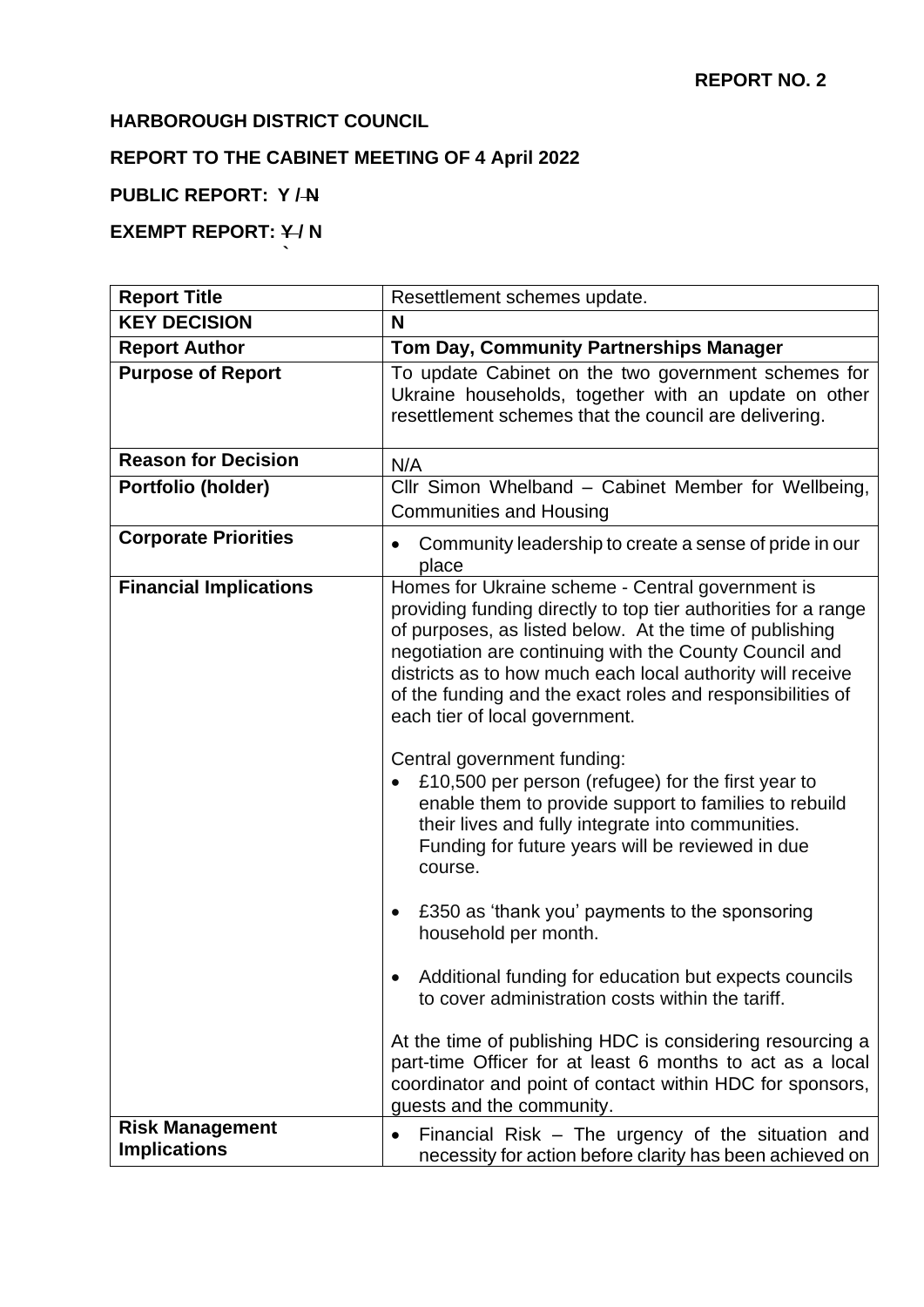# **HARBOROUGH DISTRICT COUNCIL**

**`**

# **REPORT TO THE CABINET MEETING OF 4 April 2022**

# **PUBLIC REPORT: Y / N**

# **EXEMPT REPORT: Y/N**

| <b>Report Title</b>                           | Resettlement schemes update.                                                                                                                                                                                                                                                                                                                                                                          |
|-----------------------------------------------|-------------------------------------------------------------------------------------------------------------------------------------------------------------------------------------------------------------------------------------------------------------------------------------------------------------------------------------------------------------------------------------------------------|
| <b>KEY DECISION</b>                           | N                                                                                                                                                                                                                                                                                                                                                                                                     |
| <b>Report Author</b>                          | Tom Day, Community Partnerships Manager                                                                                                                                                                                                                                                                                                                                                               |
| <b>Purpose of Report</b>                      | To update Cabinet on the two government schemes for<br>Ukraine households, together with an update on other<br>resettlement schemes that the council are delivering.                                                                                                                                                                                                                                  |
| <b>Reason for Decision</b>                    | N/A                                                                                                                                                                                                                                                                                                                                                                                                   |
| Portfolio (holder)                            | Cllr Simon Whelband - Cabinet Member for Wellbeing,<br><b>Communities and Housing</b>                                                                                                                                                                                                                                                                                                                 |
| <b>Corporate Priorities</b>                   | Community leadership to create a sense of pride in our<br>place                                                                                                                                                                                                                                                                                                                                       |
| <b>Financial Implications</b>                 | Homes for Ukraine scheme - Central government is<br>providing funding directly to top tier authorities for a range<br>of purposes, as listed below. At the time of publishing<br>negotiation are continuing with the County Council and<br>districts as to how much each local authority will receive<br>of the funding and the exact roles and responsibilities of<br>each tier of local government. |
|                                               | Central government funding:<br>£10,500 per person (refugee) for the first year to<br>enable them to provide support to families to rebuild<br>their lives and fully integrate into communities.<br>Funding for future years will be reviewed in due<br>course.                                                                                                                                        |
|                                               | £350 as 'thank you' payments to the sponsoring<br>household per month.                                                                                                                                                                                                                                                                                                                                |
|                                               | Additional funding for education but expects councils<br>to cover administration costs within the tariff.                                                                                                                                                                                                                                                                                             |
|                                               | At the time of publishing HDC is considering resourcing a<br>part-time Officer for at least 6 months to act as a local<br>coordinator and point of contact within HDC for sponsors,<br>guests and the community.                                                                                                                                                                                      |
| <b>Risk Management</b><br><b>Implications</b> | Financial Risk – The urgency of the situation and<br>$\bullet$<br>necessity for action before clarity has been achieved on                                                                                                                                                                                                                                                                            |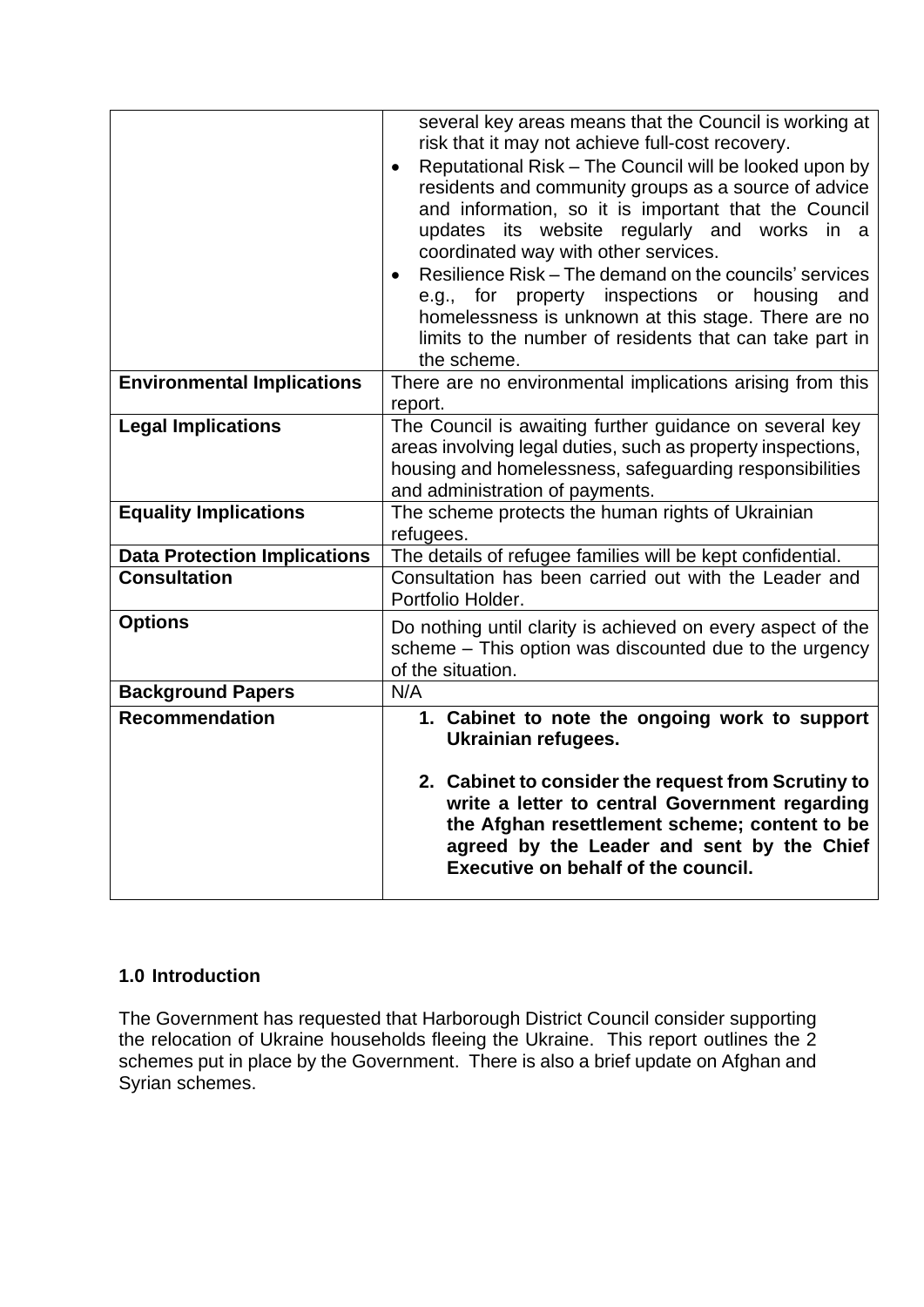|                                     | several key areas means that the Council is working at<br>risk that it may not achieve full-cost recovery.<br>Reputational Risk - The Council will be looked upon by<br>$\bullet$<br>residents and community groups as a source of advice<br>and information, so it is important that the Council<br>updates its website regularly and works in a<br>coordinated way with other services.<br>Resilience Risk – The demand on the councils' services<br>$\bullet$<br>e.g., for property inspections or housing<br>and<br>homelessness is unknown at this stage. There are no<br>limits to the number of residents that can take part in<br>the scheme. |
|-------------------------------------|-------------------------------------------------------------------------------------------------------------------------------------------------------------------------------------------------------------------------------------------------------------------------------------------------------------------------------------------------------------------------------------------------------------------------------------------------------------------------------------------------------------------------------------------------------------------------------------------------------------------------------------------------------|
| <b>Environmental Implications</b>   | There are no environmental implications arising from this<br>report.                                                                                                                                                                                                                                                                                                                                                                                                                                                                                                                                                                                  |
| <b>Legal Implications</b>           | The Council is awaiting further guidance on several key<br>areas involving legal duties, such as property inspections,<br>housing and homelessness, safeguarding responsibilities<br>and administration of payments.                                                                                                                                                                                                                                                                                                                                                                                                                                  |
| <b>Equality Implications</b>        | The scheme protects the human rights of Ukrainian<br>refugees.                                                                                                                                                                                                                                                                                                                                                                                                                                                                                                                                                                                        |
| <b>Data Protection Implications</b> | The details of refugee families will be kept confidential.                                                                                                                                                                                                                                                                                                                                                                                                                                                                                                                                                                                            |
| <b>Consultation</b>                 | Consultation has been carried out with the Leader and<br>Portfolio Holder.                                                                                                                                                                                                                                                                                                                                                                                                                                                                                                                                                                            |
| <b>Options</b>                      | Do nothing until clarity is achieved on every aspect of the<br>scheme - This option was discounted due to the urgency<br>of the situation.                                                                                                                                                                                                                                                                                                                                                                                                                                                                                                            |
| <b>Background Papers</b>            | N/A                                                                                                                                                                                                                                                                                                                                                                                                                                                                                                                                                                                                                                                   |
| <b>Recommendation</b>               | 1. Cabinet to note the ongoing work to support<br><b>Ukrainian refugees.</b><br>2. Cabinet to consider the request from Scrutiny to<br>write a letter to central Government regarding<br>the Afghan resettlement scheme; content to be<br>agreed by the Leader and sent by the Chief<br>Executive on behalf of the council.                                                                                                                                                                                                                                                                                                                           |

## **1.0 Introduction**

The Government has requested that Harborough District Council consider supporting the relocation of Ukraine households fleeing the Ukraine. This report outlines the 2 schemes put in place by the Government. There is also a brief update on Afghan and Syrian schemes.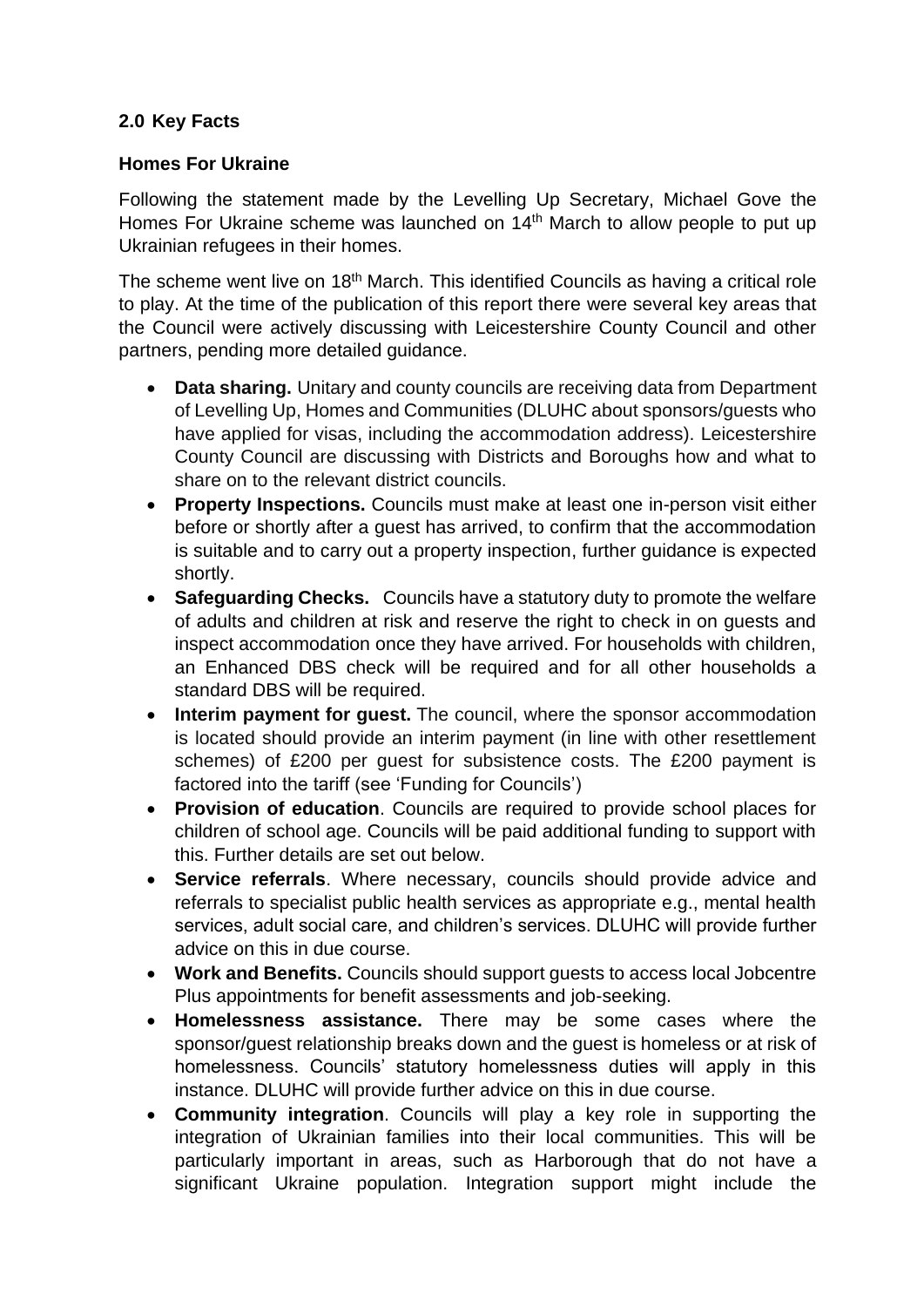# **2.0 Key Facts**

## **Homes For Ukraine**

Following the statement made by the Levelling Up Secretary, Michael Gove the Homes For Ukraine scheme was launched on 14<sup>th</sup> March to allow people to put up Ukrainian refugees in their homes.

The scheme went live on 18<sup>th</sup> March. This identified Councils as having a critical role to play. At the time of the publication of this report there were several key areas that the Council were actively discussing with Leicestershire County Council and other partners, pending more detailed guidance.

- **Data sharing.** Unitary and county councils are receiving data from Department of Levelling Up, Homes and Communities (DLUHC about sponsors/guests who have applied for visas, including the accommodation address). Leicestershire County Council are discussing with Districts and Boroughs how and what to share on to the relevant district councils.
- **Property Inspections.** Councils must make at least one in-person visit either before or shortly after a guest has arrived, to confirm that the accommodation is suitable and to carry out a property inspection, further guidance is expected shortly.
- **Safeguarding Checks.** Councils have a statutory duty to promote the welfare of adults and children at risk and reserve the right to check in on guests and inspect accommodation once they have arrived. For households with children, an Enhanced DBS check will be required and for all other households a standard DBS will be required.
- **Interim payment for quest.** The council, where the sponsor accommodation is located should provide an interim payment (in line with other resettlement schemes) of £200 per guest for subsistence costs. The £200 payment is factored into the tariff (see 'Funding for Councils')
- **Provision of education**. Councils are required to provide school places for children of school age. Councils will be paid additional funding to support with this. Further details are set out below.
- **Service referrals**. Where necessary, councils should provide advice and referrals to specialist public health services as appropriate e.g., mental health services, adult social care, and children's services. DLUHC will provide further advice on this in due course.
- **Work and Benefits.** Councils should support guests to access local Jobcentre Plus appointments for benefit assessments and job-seeking.
- **Homelessness assistance.** There may be some cases where the sponsor/guest relationship breaks down and the guest is homeless or at risk of homelessness. Councils' statutory homelessness duties will apply in this instance. DLUHC will provide further advice on this in due course.
- **Community integration**. Councils will play a key role in supporting the integration of Ukrainian families into their local communities. This will be particularly important in areas, such as Harborough that do not have a significant Ukraine population. Integration support might include the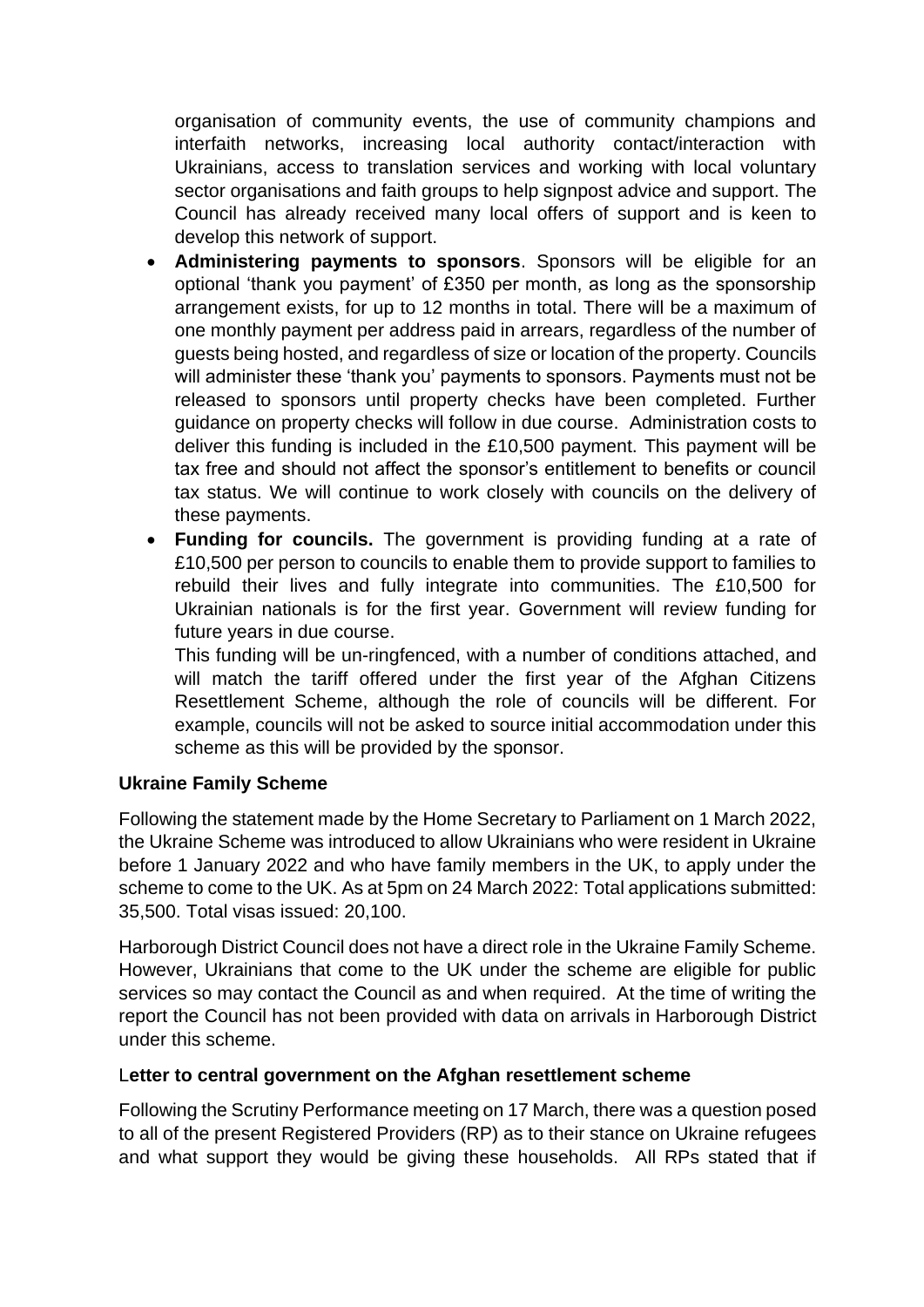organisation of community events, the use of community champions and interfaith networks, increasing local authority contact/interaction with Ukrainians, access to translation services and working with local voluntary sector organisations and faith groups to help signpost advice and support. The Council has already received many local offers of support and is keen to develop this network of support.

- **Administering payments to sponsors**. Sponsors will be eligible for an optional 'thank you payment' of £350 per month, as long as the sponsorship arrangement exists, for up to 12 months in total. There will be a maximum of one monthly payment per address paid in arrears, regardless of the number of guests being hosted, and regardless of size or location of the property. Councils will administer these 'thank you' payments to sponsors. Payments must not be released to sponsors until property checks have been completed. Further guidance on property checks will follow in due course. Administration costs to deliver this funding is included in the £10,500 payment. This payment will be tax free and should not affect the sponsor's entitlement to benefits or council tax status. We will continue to work closely with councils on the delivery of these payments.
- **Funding for councils.** The government is providing funding at a rate of £10,500 per person to councils to enable them to provide support to families to rebuild their lives and fully integrate into communities. The £10,500 for Ukrainian nationals is for the first year. Government will review funding for future years in due course.

This funding will be un-ringfenced, with a number of conditions attached, and will match the tariff offered under the first year of the Afghan Citizens Resettlement Scheme, although the role of councils will be different. For example, councils will not be asked to source initial accommodation under this scheme as this will be provided by the sponsor.

#### **Ukraine Family Scheme**

Following the statement made by the Home Secretary to Parliament on 1 March 2022, the Ukraine Scheme was introduced to allow Ukrainians who were resident in Ukraine before 1 January 2022 and who have family members in the UK, to apply under the scheme to come to the UK. As at 5pm on 24 March 2022: Total applications submitted: 35,500. Total visas issued: 20,100.

Harborough District Council does not have a direct role in the Ukraine Family Scheme. However, Ukrainians that come to the UK under the scheme are eligible for public services so may contact the Council as and when required. At the time of writing the report the Council has not been provided with data on arrivals in Harborough District under this scheme.

#### L**etter to central government on the Afghan resettlement scheme**

Following the Scrutiny Performance meeting on 17 March, there was a question posed to all of the present Registered Providers (RP) as to their stance on Ukraine refugees and what support they would be giving these households. All RPs stated that if